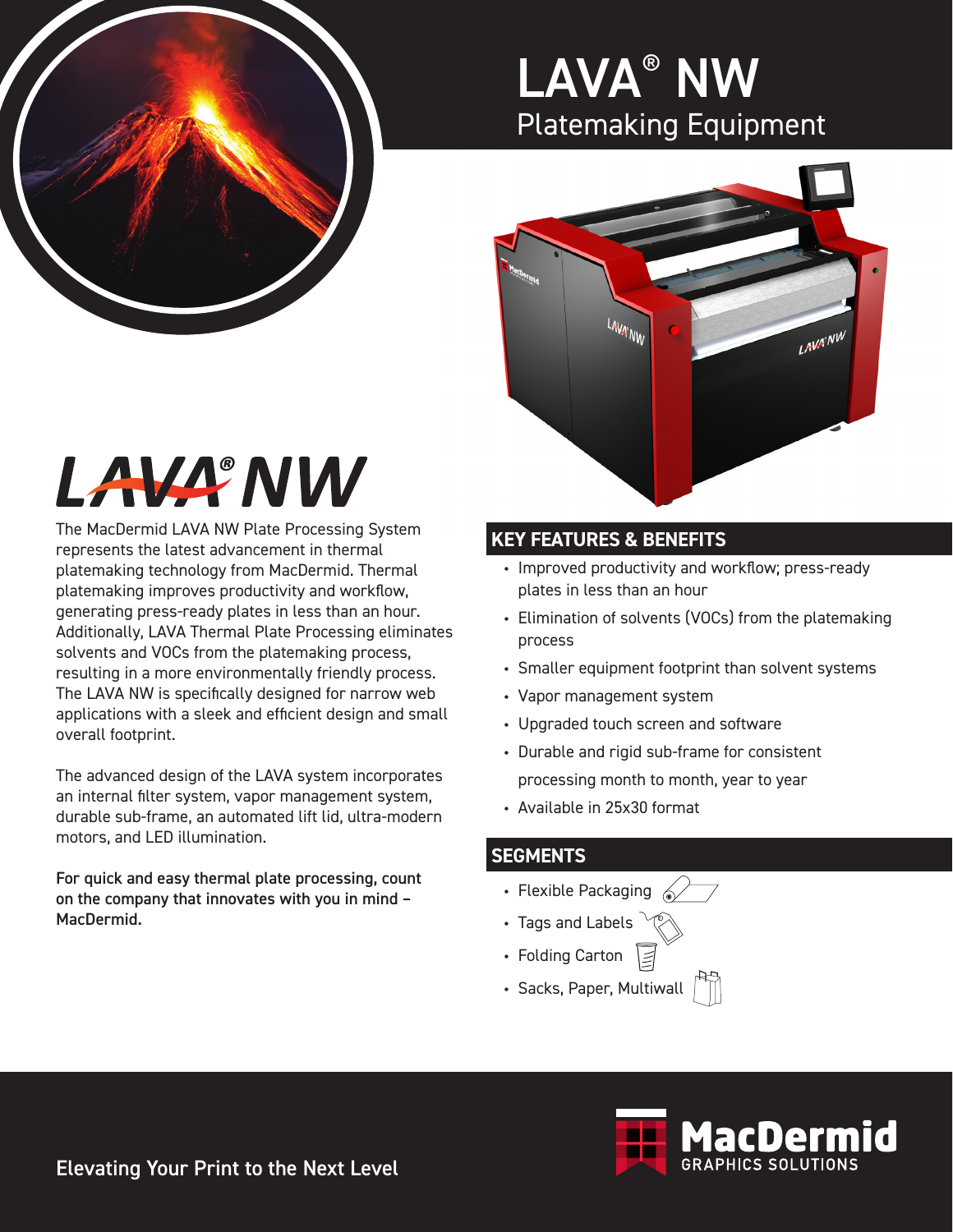

### LAVA® NW Platemaking Equipment



# LAVA<sup>®</sup>NW

The MacDermid LAVA NW Plate Processing System represents the latest advancement in thermal platemaking technology from MacDermid. Thermal platemaking improves productivity and workflow, generating press-ready plates in less than an hour. Additionally, LAVA Thermal Plate Processing eliminates solvents and VOCs from the platemaking process, resulting in a more environmentally friendly process. The LAVA NW is specifically designed for narrow web applications with a sleek and efficient design and small overall footprint.

The advanced design of the LAVA system incorporates an internal filter system, vapor management system, durable sub-frame, an automated lift lid, ultra-modern motors, and LED illumination.

For quick and easy thermal plate processing, count on the company that innovates with you in mind – MacDermid.

### **KEY FEATURES & BENEFITS**

- Improved productivity and workflow; press-ready plates in less than an hour
- Elimination of solvents (VOCs) from the platemaking process
- Smaller equipment footprint than solvent systems
- Vapor management system
- Upgraded touch screen and software
- Durable and rigid sub-frame for consistent processing month to month, year to year
- Available in 25x30 format

#### **SEGMENTS**

- Flexible Packaging  $\leq$
- Tags and Labels
- Folding Carton
- Sacks, Paper, Multiwall



Elevating Your Print to the Next Level